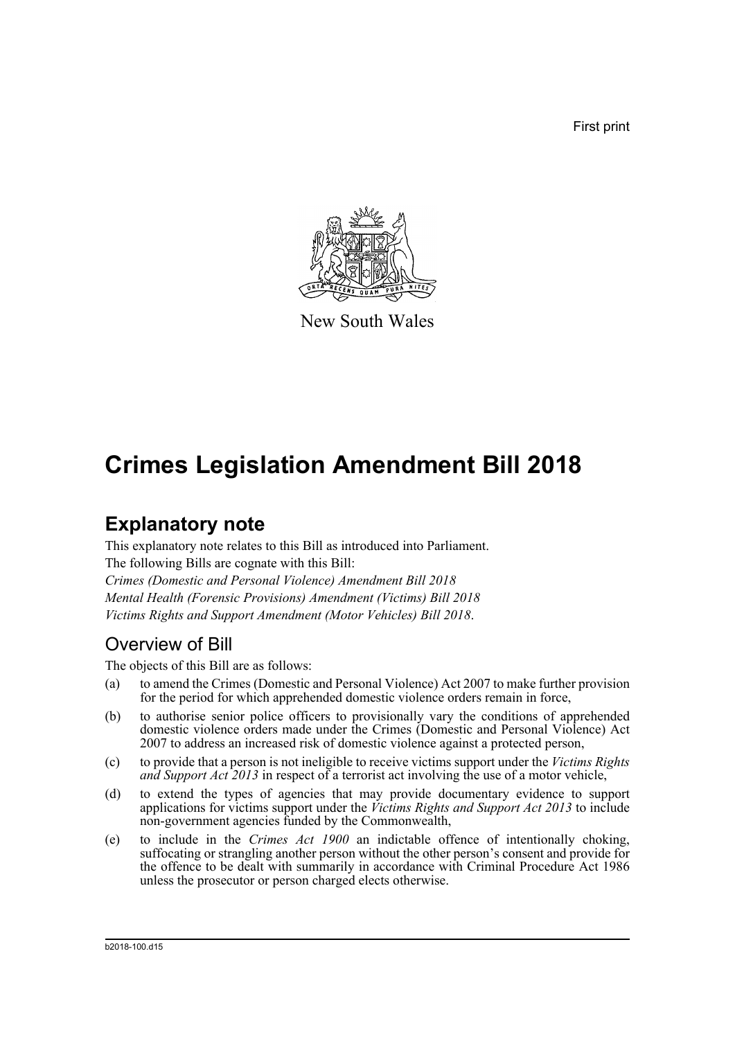First print



New South Wales

# **Crimes Legislation Amendment Bill 2018**

## **Explanatory note**

This explanatory note relates to this Bill as introduced into Parliament. The following Bills are cognate with this Bill: *Crimes (Domestic and Personal Violence) Amendment Bill 2018 Mental Health (Forensic Provisions) Amendment (Victims) Bill 2018 Victims Rights and Support Amendment (Motor Vehicles) Bill 2018*.

### Overview of Bill

The objects of this Bill are as follows:

- (a) to amend the Crimes (Domestic and Personal Violence) Act 2007 to make further provision for the period for which apprehended domestic violence orders remain in force,
- (b) to authorise senior police officers to provisionally vary the conditions of apprehended domestic violence orders made under the Crimes (Domestic and Personal Violence) Act 2007 to address an increased risk of domestic violence against a protected person,
- (c) to provide that a person is not ineligible to receive victims support under the *Victims Rights and Support Act 2013* in respect of a terrorist act involving the use of a motor vehicle,
- (d) to extend the types of agencies that may provide documentary evidence to support applications for victims support under the *Victims Rights and Support Act 2013* to include non-government agencies funded by the Commonwealth,
- (e) to include in the *Crimes Act 1900* an indictable offence of intentionally choking, suffocating or strangling another person without the other person's consent and provide for the offence to be dealt with summarily in accordance with Criminal Procedure Act 1986 unless the prosecutor or person charged elects otherwise.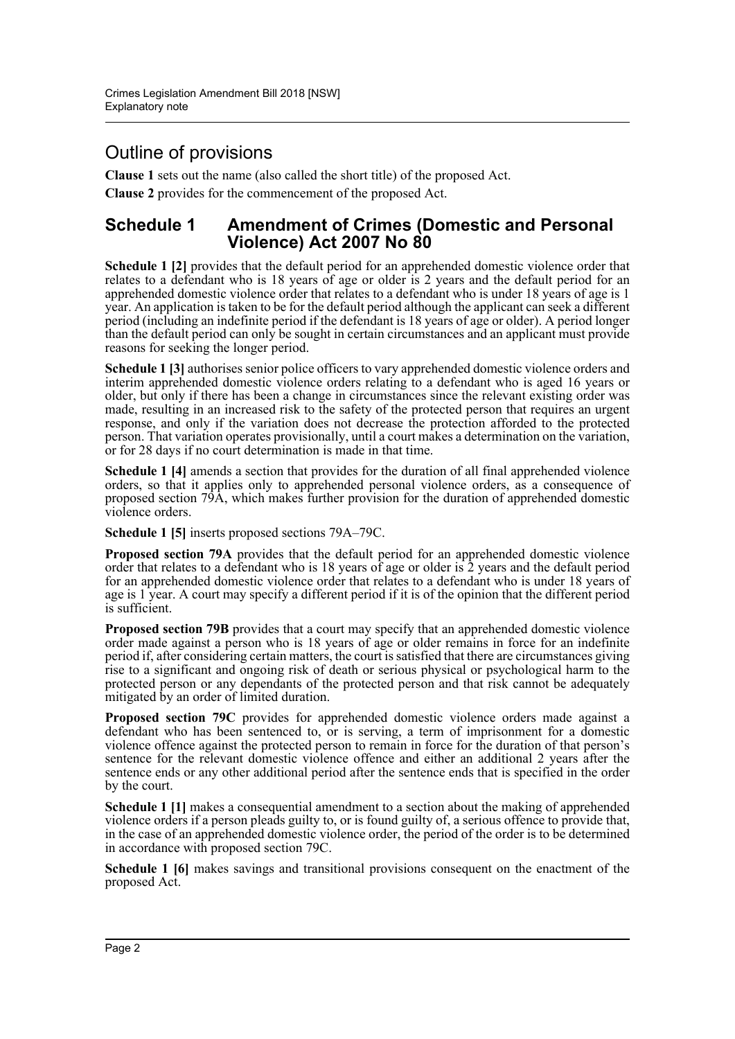## Outline of provisions

**Clause 1** sets out the name (also called the short title) of the proposed Act. **Clause 2** provides for the commencement of the proposed Act.

### **Schedule 1 Amendment of Crimes (Domestic and Personal Violence) Act 2007 No 80**

**Schedule 1 [2]** provides that the default period for an apprehended domestic violence order that relates to a defendant who is 18 years of age or older is 2 years and the default period for an apprehended domestic violence order that relates to a defendant who is under 18 years of age is 1 year. An application is taken to be for the default period although the applicant can seek a different period (including an indefinite period if the defendant is 18 years of age or older). A period longer than the default period can only be sought in certain circumstances and an applicant must provide reasons for seeking the longer period.

**Schedule 1 [3]** authorises senior police officers to vary apprehended domestic violence orders and interim apprehended domestic violence orders relating to a defendant who is aged 16 years or older, but only if there has been a change in circumstances since the relevant existing order was made, resulting in an increased risk to the safety of the protected person that requires an urgent response, and only if the variation does not decrease the protection afforded to the protected person. That variation operates provisionally, until a court makes a determination on the variation, or for 28 days if no court determination is made in that time.

**Schedule 1 [4]** amends a section that provides for the duration of all final apprehended violence orders, so that it applies only to apprehended personal violence orders, as a consequence of proposed section 79A, which makes further provision for the duration of apprehended domestic violence orders.

**Schedule 1 [5]** inserts proposed sections 79A–79C.

**Proposed section 79A** provides that the default period for an apprehended domestic violence order that relates to a defendant who is 18 years of age or older is 2 years and the default period for an apprehended domestic violence order that relates to a defendant who is under 18 years of age is 1 year. A court may specify a different period if it is of the opinion that the different period is sufficient.

**Proposed section 79B** provides that a court may specify that an apprehended domestic violence order made against a person who is 18 years of age or older remains in force for an indefinite period if, after considering certain matters, the court is satisfied that there are circumstances giving rise to a significant and ongoing risk of death or serious physical or psychological harm to the protected person or any dependants of the protected person and that risk cannot be adequately mitigated by an order of limited duration.

**Proposed section 79C** provides for apprehended domestic violence orders made against a defendant who has been sentenced to, or is serving, a term of imprisonment for a domestic violence offence against the protected person to remain in force for the duration of that person's sentence for the relevant domestic violence offence and either an additional 2 years after the sentence ends or any other additional period after the sentence ends that is specified in the order by the court.

**Schedule 1 [1]** makes a consequential amendment to a section about the making of apprehended violence orders if a person pleads guilty to, or is found guilty of, a serious offence to provide that, in the case of an apprehended domestic violence order, the period of the order is to be determined in accordance with proposed section 79C.

**Schedule 1 [6]** makes savings and transitional provisions consequent on the enactment of the proposed Act.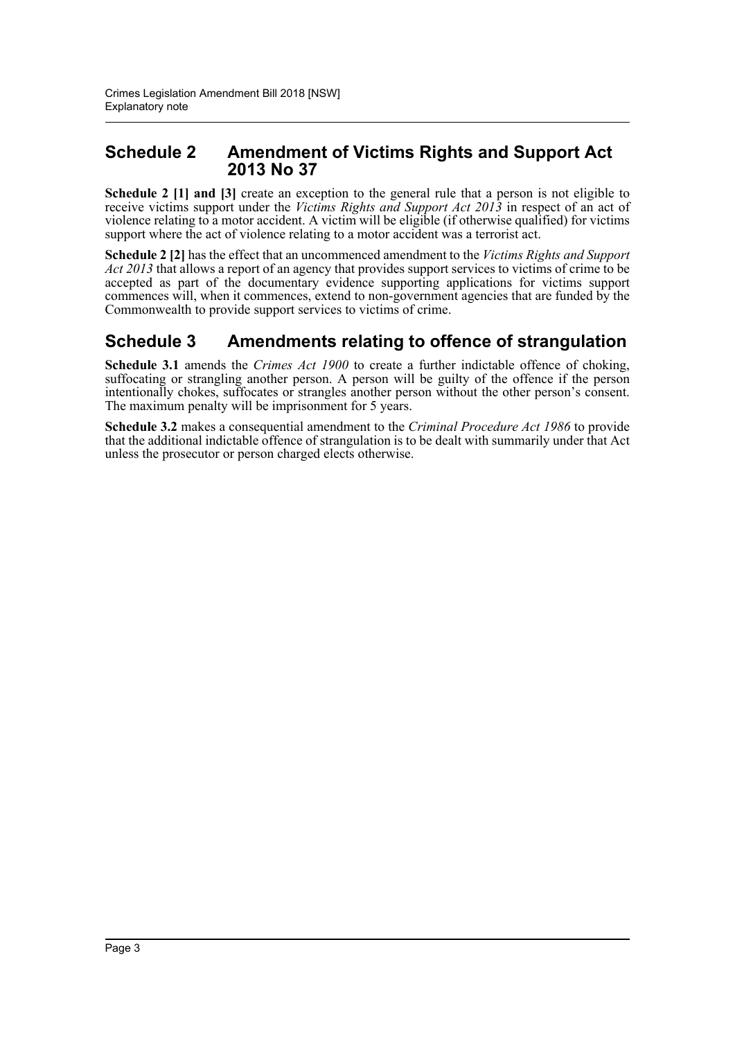#### **Schedule 2 Amendment of Victims Rights and Support Act 2013 No 37**

**Schedule 2 [1] and [3]** create an exception to the general rule that a person is not eligible to receive victims support under the *Victims Rights and Support Act 2013* in respect of an act of violence relating to a motor accident. A victim will be eligible (if otherwise qualified) for victims support where the act of violence relating to a motor accident was a terrorist act.

**Schedule 2 [2]** has the effect that an uncommenced amendment to the *Victims Rights and Support Act 2013* that allows a report of an agency that provides support services to victims of crime to be accepted as part of the documentary evidence supporting applications for victims support commences will, when it commences, extend to non-government agencies that are funded by the Commonwealth to provide support services to victims of crime.

### **Schedule 3 Amendments relating to offence of strangulation**

**Schedule 3.1** amends the *Crimes Act 1900* to create a further indictable offence of choking, suffocating or strangling another person. A person will be guilty of the offence if the person intentionally chokes, suffocates or strangles another person without the other person's consent. The maximum penalty will be imprisonment for 5 years.

**Schedule 3.2** makes a consequential amendment to the *Criminal Procedure Act 1986* to provide that the additional indictable offence of strangulation is to be dealt with summarily under that Act unless the prosecutor or person charged elects otherwise.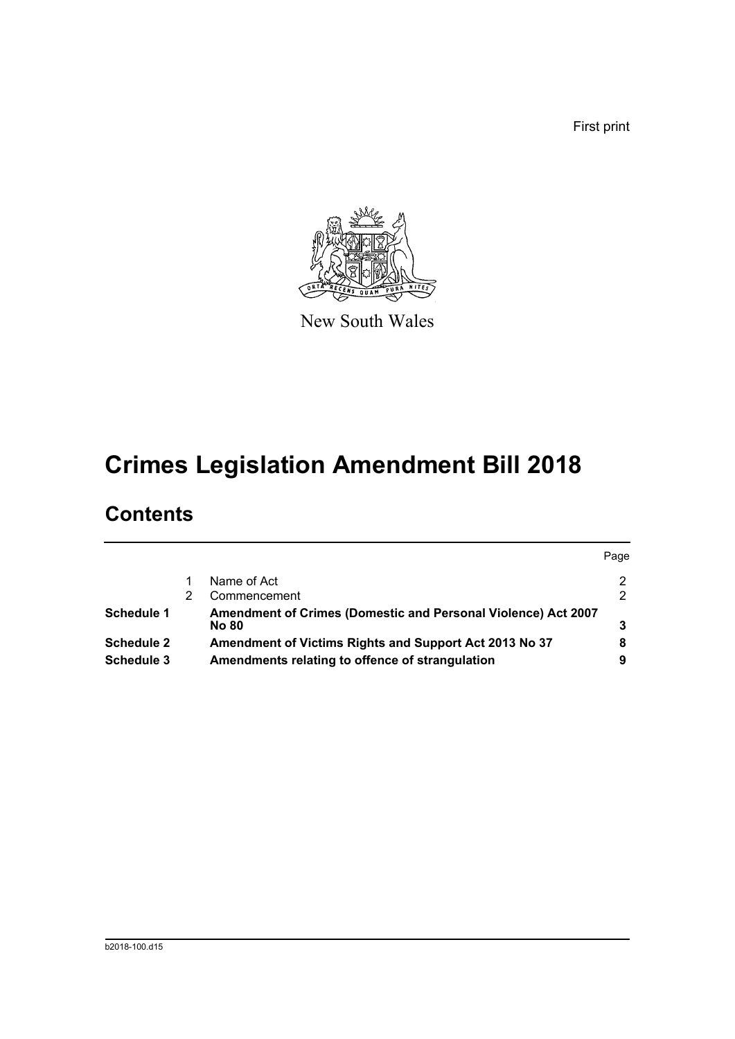First print



New South Wales

# **Crimes Legislation Amendment Bill 2018**

# **Contents**

|                                                               | Page          |
|---------------------------------------------------------------|---------------|
| Name of Act                                                   | 2             |
| Commencement                                                  | $\mathcal{P}$ |
| Amendment of Crimes (Domestic and Personal Violence) Act 2007 |               |
|                                                               |               |
| Amendment of Victims Rights and Support Act 2013 No 37        |               |
| Amendments relating to offence of strangulation               |               |
|                                                               | <b>No 80</b>  |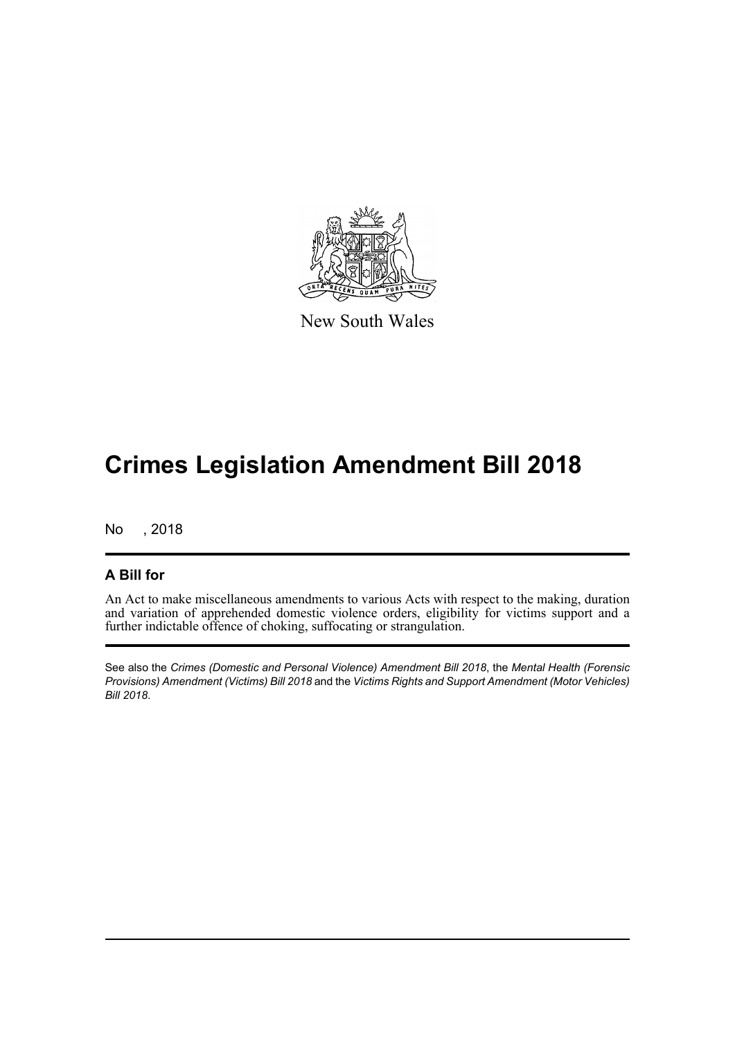

New South Wales

# **Crimes Legislation Amendment Bill 2018**

No , 2018

#### **A Bill for**

An Act to make miscellaneous amendments to various Acts with respect to the making, duration and variation of apprehended domestic violence orders, eligibility for victims support and a further indictable offence of choking, suffocating or strangulation.

See also the *Crimes (Domestic and Personal Violence) Amendment Bill 2018*, the *Mental Health (Forensic Provisions) Amendment (Victims) Bill 2018* and the *Victims Rights and Support Amendment (Motor Vehicles) Bill 2018*.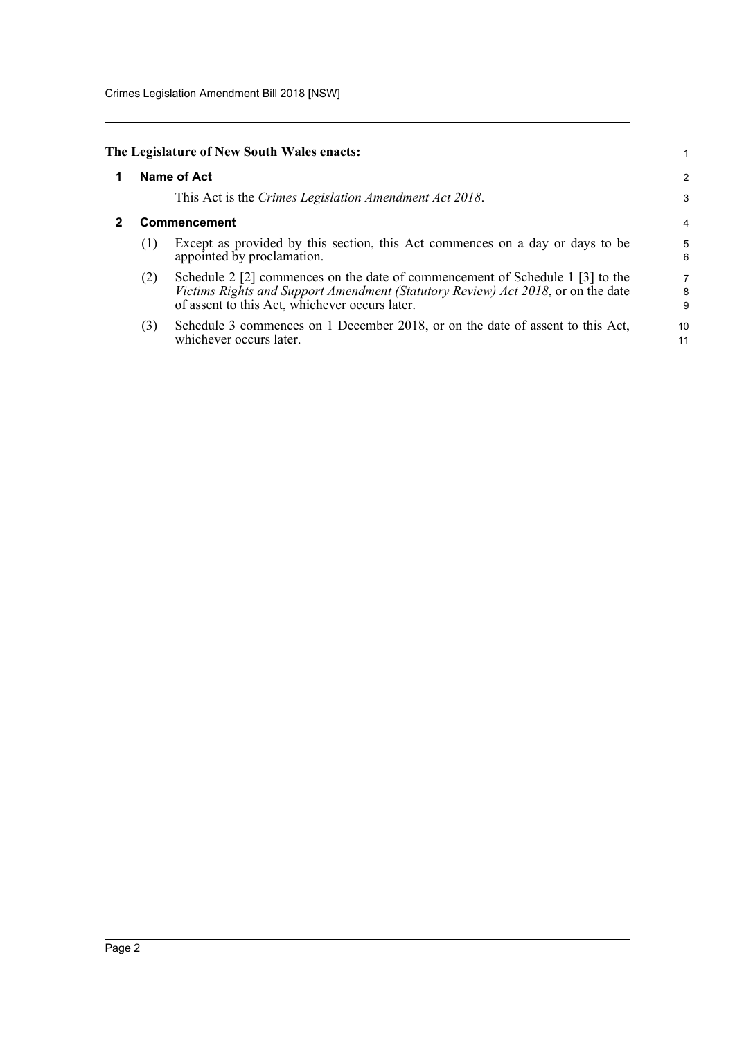<span id="page-5-1"></span><span id="page-5-0"></span>

|     | The Legislature of New South Wales enacts:                                                                                                                                                                            | 1                        |
|-----|-----------------------------------------------------------------------------------------------------------------------------------------------------------------------------------------------------------------------|--------------------------|
|     | Name of Act                                                                                                                                                                                                           | $\overline{2}$           |
|     | This Act is the Crimes Legislation Amendment Act 2018.                                                                                                                                                                | 3                        |
|     | Commencement                                                                                                                                                                                                          | $\overline{4}$           |
| (1) | Except as provided by this section, this Act commences on a day or days to be<br>appointed by proclamation.                                                                                                           | 5<br>6                   |
| (2) | Schedule $2$ [2] commences on the date of commencement of Schedule 1 [3] to the<br>Victims Rights and Support Amendment (Statutory Review) Act 2018, or on the date<br>of assent to this Act, whichever occurs later. | $\overline{7}$<br>8<br>9 |
| (3) | Schedule 3 commences on 1 December 2018, or on the date of assent to this Act,<br>whichever occurs later.                                                                                                             | 10<br>11                 |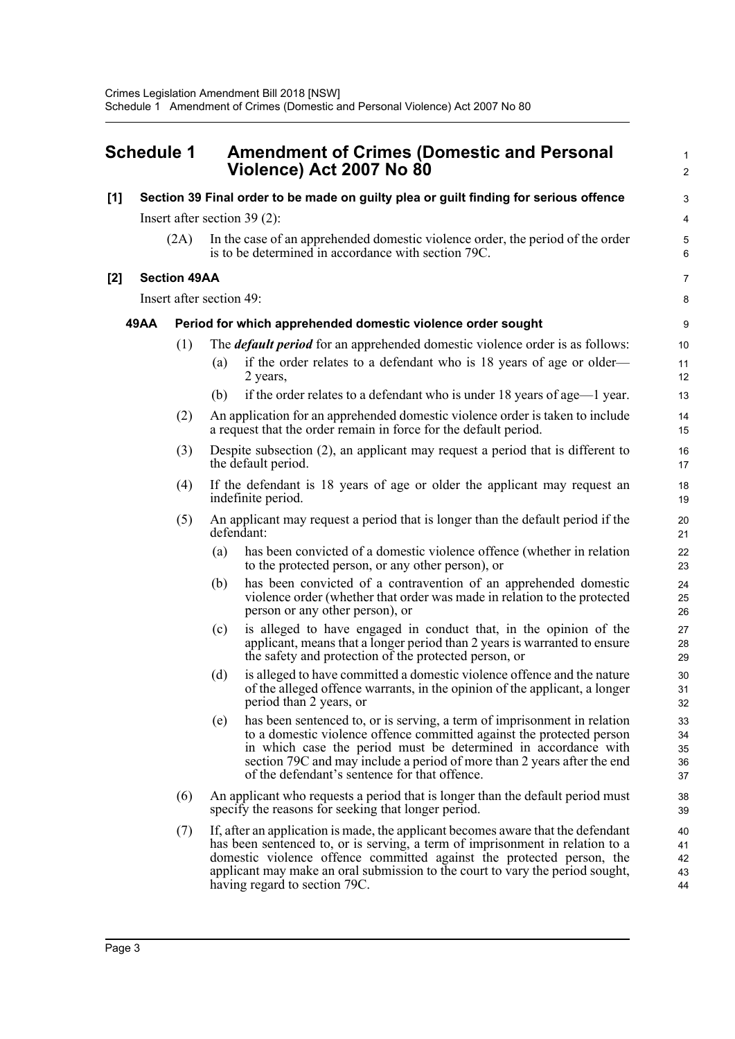### <span id="page-6-0"></span>**Schedule 1 Amendment of Crimes (Domestic and Personal Violence) Act 2007 No 80**

1

|     |      |                     | Violence) Act 2007 No 80                                                                                                                                                                                                                                                                                                                                     | $\boldsymbol{2}$           |
|-----|------|---------------------|--------------------------------------------------------------------------------------------------------------------------------------------------------------------------------------------------------------------------------------------------------------------------------------------------------------------------------------------------------------|----------------------------|
| [1] |      |                     | Section 39 Final order to be made on guilty plea or guilt finding for serious offence                                                                                                                                                                                                                                                                        | 3                          |
|     |      |                     | Insert after section $39(2)$ :                                                                                                                                                                                                                                                                                                                               | 4                          |
|     |      | (2A)                | In the case of an apprehended domestic violence order, the period of the order<br>is to be determined in accordance with section 79C.                                                                                                                                                                                                                        | 5<br>6                     |
| [2] |      | <b>Section 49AA</b> |                                                                                                                                                                                                                                                                                                                                                              | $\overline{7}$             |
|     |      |                     | Insert after section 49:                                                                                                                                                                                                                                                                                                                                     | 8                          |
|     | 49AA |                     | Period for which apprehended domestic violence order sought                                                                                                                                                                                                                                                                                                  | 9                          |
|     |      | (1)                 | The <i>default period</i> for an apprehended domestic violence order is as follows:                                                                                                                                                                                                                                                                          | 10                         |
|     |      |                     | if the order relates to a defendant who is 18 years of age or older—<br>(a)<br>2 years,                                                                                                                                                                                                                                                                      | 11<br>12                   |
|     |      |                     | if the order relates to a defendant who is under 18 years of age—1 year.<br>(b)                                                                                                                                                                                                                                                                              | 13                         |
|     |      | (2)                 | An application for an apprehended domestic violence order is taken to include<br>a request that the order remain in force for the default period.                                                                                                                                                                                                            | 14<br>15                   |
|     |      | (3)                 | Despite subsection (2), an applicant may request a period that is different to<br>the default period.                                                                                                                                                                                                                                                        | 16<br>17                   |
|     |      | (4)                 | If the defendant is 18 years of age or older the applicant may request an<br>indefinite period.                                                                                                                                                                                                                                                              | 18<br>19                   |
|     |      | (5)                 | An applicant may request a period that is longer than the default period if the<br>defendant:                                                                                                                                                                                                                                                                | 20<br>21                   |
|     |      |                     | has been convicted of a domestic violence offence (whether in relation<br>(a)<br>to the protected person, or any other person), or                                                                                                                                                                                                                           | 22<br>23                   |
|     |      |                     | has been convicted of a contravention of an apprehended domestic<br>(b)<br>violence order (whether that order was made in relation to the protected<br>person or any other person), or                                                                                                                                                                       | 24<br>25<br>26             |
|     |      |                     | is alleged to have engaged in conduct that, in the opinion of the<br>(c)<br>applicant, means that a longer period than 2 years is warranted to ensure<br>the safety and protection of the protected person, or                                                                                                                                               | 27<br>28<br>29             |
|     |      |                     | is alleged to have committed a domestic violence offence and the nature<br>(d)<br>of the alleged offence warrants, in the opinion of the applicant, a longer<br>period than 2 years, or                                                                                                                                                                      | 30<br>31<br>32             |
|     |      |                     | has been sentenced to, or is serving, a term of imprisonment in relation<br>(e)<br>to a domestic violence offence committed against the protected person<br>in which case the period must be determined in accordance with<br>section 79C and may include a period of more than 2 years after the end<br>of the defendant's sentence for that offence.       | 33<br>34<br>35<br>36<br>37 |
|     |      | (6)                 | An applicant who requests a period that is longer than the default period must<br>specify the reasons for seeking that longer period.                                                                                                                                                                                                                        | 38<br>39                   |
|     |      | (7)                 | If, after an application is made, the applicant becomes aware that the defendant<br>has been sentenced to, or is serving, a term of imprisonment in relation to a<br>domestic violence offence committed against the protected person, the<br>applicant may make an oral submission to the court to vary the period sought,<br>having regard to section 79C. | 40<br>41<br>42<br>43<br>44 |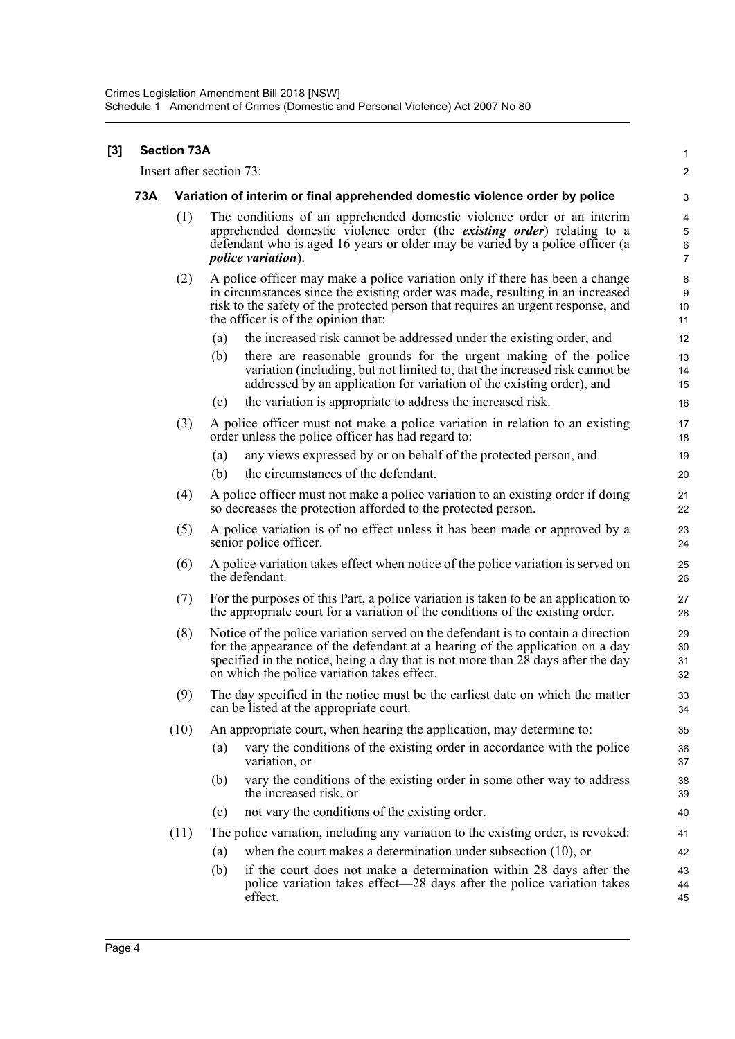| $\left[3\right]$ |     | <b>Section 73A</b> |                                                                                                                                                                                                                                                                                                     | 1                       |
|------------------|-----|--------------------|-----------------------------------------------------------------------------------------------------------------------------------------------------------------------------------------------------------------------------------------------------------------------------------------------------|-------------------------|
|                  |     |                    | Insert after section 73:                                                                                                                                                                                                                                                                            | $\overline{\mathbf{c}}$ |
|                  | 73A |                    | Variation of interim or final apprehended domestic violence order by police                                                                                                                                                                                                                         | 3                       |
|                  |     | (1)                | The conditions of an apprehended domestic violence order or an interim<br>apprehended domestic violence order (the <i>existing order</i> ) relating to a<br>defendant who is aged 16 years or older may be varied by a police officer (a<br><i>police variation</i> ).                              | 4<br>5<br>6<br>7        |
|                  |     | (2)                | A police officer may make a police variation only if there has been a change<br>in circumstances since the existing order was made, resulting in an increased<br>risk to the safety of the protected person that requires an urgent response, and<br>the officer is of the opinion that:            | 8<br>9<br>10<br>11      |
|                  |     |                    | the increased risk cannot be addressed under the existing order, and<br>(a)                                                                                                                                                                                                                         | 12                      |
|                  |     |                    | there are reasonable grounds for the urgent making of the police<br>(b)<br>variation (including, but not limited to, that the increased risk cannot be<br>addressed by an application for variation of the existing order), and                                                                     | 13<br>14<br>15          |
|                  |     |                    | the variation is appropriate to address the increased risk.<br>(c)                                                                                                                                                                                                                                  | 16                      |
|                  |     | (3)                | A police officer must not make a police variation in relation to an existing<br>order unless the police officer has had regard to:                                                                                                                                                                  | 17<br>18                |
|                  |     |                    | any views expressed by or on behalf of the protected person, and<br>(a)                                                                                                                                                                                                                             | 19                      |
|                  |     |                    | the circumstances of the defendant.<br>(b)                                                                                                                                                                                                                                                          | 20                      |
|                  |     | (4)                | A police officer must not make a police variation to an existing order if doing<br>so decreases the protection afforded to the protected person.                                                                                                                                                    | 21<br>22                |
|                  |     | (5)                | A police variation is of no effect unless it has been made or approved by a<br>senior police officer.                                                                                                                                                                                               | 23<br>24                |
|                  |     | (6)                | A police variation takes effect when notice of the police variation is served on<br>the defendant.                                                                                                                                                                                                  | 25<br>26                |
|                  |     | (7)                | For the purposes of this Part, a police variation is taken to be an application to<br>the appropriate court for a variation of the conditions of the existing order.                                                                                                                                | 27<br>28                |
|                  |     | (8)                | Notice of the police variation served on the defendant is to contain a direction<br>for the appearance of the defendant at a hearing of the application on a day<br>specified in the notice, being a day that is not more than 28 days after the day<br>on which the police variation takes effect. | 29<br>30<br>31<br>32    |
|                  |     | (9)                | The day specified in the notice must be the earliest date on which the matter<br>can be listed at the appropriate court.                                                                                                                                                                            | 33<br>34                |
|                  |     | (10)               | An appropriate court, when hearing the application, may determine to:<br>vary the conditions of the existing order in accordance with the police<br>(a)<br>variation, or<br>vary the conditions of the existing order in some other way to address<br>(b)                                           | 35<br>36<br>37<br>38    |
|                  |     |                    | the increased risk, or<br>not vary the conditions of the existing order.<br>(c)                                                                                                                                                                                                                     | 39<br>40                |
|                  |     | (11)               | The police variation, including any variation to the existing order, is revoked:                                                                                                                                                                                                                    | 41                      |
|                  |     |                    | when the court makes a determination under subsection $(10)$ , or<br>(a)                                                                                                                                                                                                                            | 42                      |
|                  |     |                    | if the court does not make a determination within 28 days after the<br>(b)<br>police variation takes effect—28 days after the police variation takes<br>effect.                                                                                                                                     | 43<br>44<br>45          |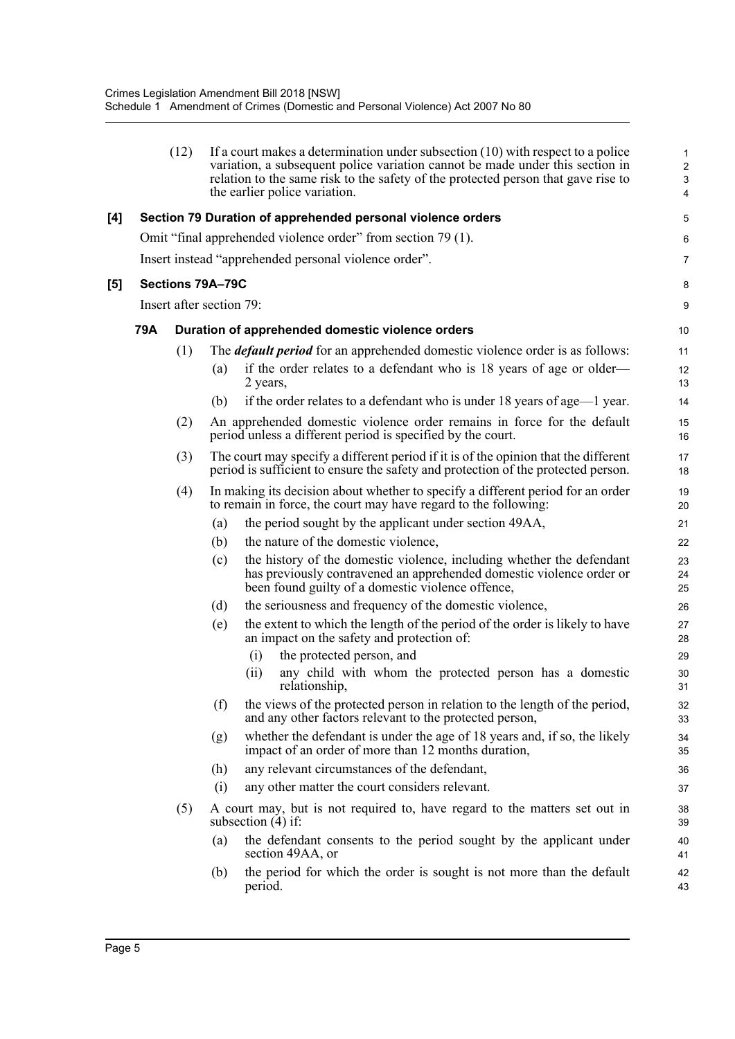|                     |     | (12) | If a court makes a determination under subsection $(10)$ with respect to a police<br>variation, a subsequent police variation cannot be made under this section in<br>relation to the same risk to the safety of the protected person that gave rise to<br>the earlier police variation. | 1<br>$\overline{\mathbf{c}}$<br>3<br>4 |
|---------------------|-----|------|------------------------------------------------------------------------------------------------------------------------------------------------------------------------------------------------------------------------------------------------------------------------------------------|----------------------------------------|
| [4]                 |     |      | Section 79 Duration of apprehended personal violence orders                                                                                                                                                                                                                              | 5                                      |
|                     |     |      | Omit "final apprehended violence order" from section 79 (1).                                                                                                                                                                                                                             | 6                                      |
|                     |     |      | Insert instead "apprehended personal violence order".                                                                                                                                                                                                                                    | 7                                      |
| $\lbrack 5 \rbrack$ |     |      | Sections 79A-79C                                                                                                                                                                                                                                                                         | 8                                      |
|                     |     |      | Insert after section 79:                                                                                                                                                                                                                                                                 | 9                                      |
|                     | 79A |      | Duration of apprehended domestic violence orders                                                                                                                                                                                                                                         | 10                                     |
|                     |     | (1)  | The <i>default period</i> for an apprehended domestic violence order is as follows:<br>if the order relates to a defendant who is 18 years of age or older—<br>(a)<br>2 years,<br>(b)<br>if the order relates to a defendant who is under 18 years of age—1 year.                        | 11<br>12<br>13<br>14                   |
|                     |     | (2)  | An apprehended domestic violence order remains in force for the default<br>period unless a different period is specified by the court.                                                                                                                                                   | 15<br>16                               |
|                     |     | (3)  | The court may specify a different period if it is of the opinion that the different<br>period is sufficient to ensure the safety and protection of the protected person.                                                                                                                 | 17<br>18                               |
|                     |     | (4)  | In making its decision about whether to specify a different period for an order<br>to remain in force, the court may have regard to the following:                                                                                                                                       | 19<br>20                               |
|                     |     |      | the period sought by the applicant under section 49AA,<br>(a)                                                                                                                                                                                                                            | 21                                     |
|                     |     |      | the nature of the domestic violence,<br>(b)                                                                                                                                                                                                                                              | 22                                     |
|                     |     |      | (c)<br>the history of the domestic violence, including whether the defendant<br>has previously contravened an apprehended domestic violence order or<br>been found guilty of a domestic violence offence,                                                                                | 23<br>24<br>25                         |
|                     |     |      | the seriousness and frequency of the domestic violence,<br>(d)                                                                                                                                                                                                                           | 26                                     |
|                     |     |      | the extent to which the length of the period of the order is likely to have<br>(e)<br>an impact on the safety and protection of:                                                                                                                                                         | 27<br>28                               |
|                     |     |      | the protected person, and<br>(i)<br>any child with whom the protected person has a domestic<br>(ii)<br>relationship,                                                                                                                                                                     | 29<br>30<br>31                         |
|                     |     |      | (f)<br>the views of the protected person in relation to the length of the period,<br>and any other factors relevant to the protected person,                                                                                                                                             | 32<br>33                               |
|                     |     |      | whether the defendant is under the age of 18 years and, if so, the likely<br>(g)<br>impact of an order of more than 12 months duration,                                                                                                                                                  | 34<br>35                               |
|                     |     |      | any relevant circumstances of the defendant,<br>(h)                                                                                                                                                                                                                                      | 36                                     |
|                     |     |      | any other matter the court considers relevant.<br>(i)                                                                                                                                                                                                                                    | 37                                     |
|                     |     | (5)  | A court may, but is not required to, have regard to the matters set out in<br>subsection $(4)$ if:                                                                                                                                                                                       | 38<br>39                               |
|                     |     |      | the defendant consents to the period sought by the applicant under<br>(a)<br>section 49AA, or                                                                                                                                                                                            | 40<br>41                               |
|                     |     |      | the period for which the order is sought is not more than the default<br>(b)<br>period.                                                                                                                                                                                                  | 42<br>43                               |

**[5] Sections 79A–79C**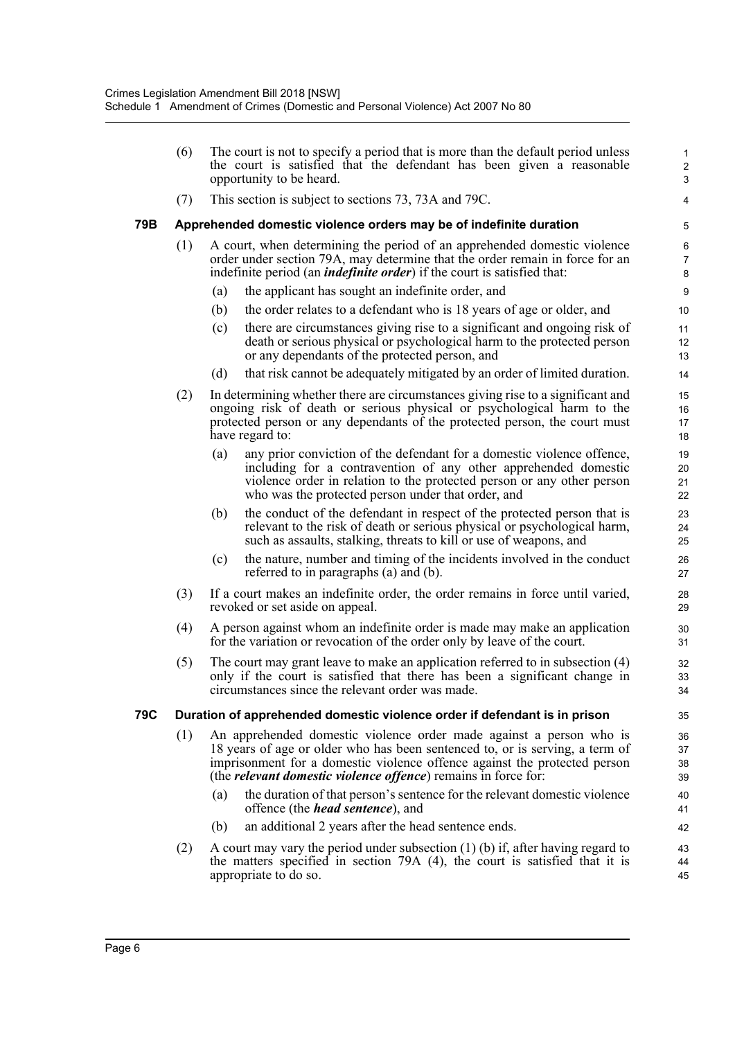|     | (6) |                                                                                                                                                                                                                    | The court is not to specify a period that is more than the default period unless<br>the court is satisfied that the defendant has been given a reasonable<br>opportunity to be heard.                                                                                                                      | 1<br>$\overline{c}$<br>3 |  |
|-----|-----|--------------------------------------------------------------------------------------------------------------------------------------------------------------------------------------------------------------------|------------------------------------------------------------------------------------------------------------------------------------------------------------------------------------------------------------------------------------------------------------------------------------------------------------|--------------------------|--|
|     | (7) |                                                                                                                                                                                                                    | This section is subject to sections 73, 73A and 79C.                                                                                                                                                                                                                                                       | 4                        |  |
| 79B |     |                                                                                                                                                                                                                    | Apprehended domestic violence orders may be of indefinite duration                                                                                                                                                                                                                                         | 5                        |  |
|     | (1) |                                                                                                                                                                                                                    | A court, when determining the period of an apprehended domestic violence<br>order under section 79A, may determine that the order remain in force for an<br>indefinite period (an <i>indefinite order</i> ) if the court is satisfied that:                                                                | 6<br>$\overline{7}$<br>8 |  |
|     |     | (a)                                                                                                                                                                                                                | the applicant has sought an indefinite order, and                                                                                                                                                                                                                                                          | 9                        |  |
|     |     | (b)                                                                                                                                                                                                                | the order relates to a defendant who is 18 years of age or older, and                                                                                                                                                                                                                                      | 10                       |  |
|     |     | (c)                                                                                                                                                                                                                | there are circumstances giving rise to a significant and ongoing risk of<br>death or serious physical or psychological harm to the protected person<br>or any dependants of the protected person, and                                                                                                      | 11<br>12<br>13           |  |
|     |     | (d)                                                                                                                                                                                                                | that risk cannot be adequately mitigated by an order of limited duration.                                                                                                                                                                                                                                  | 14                       |  |
|     | (2) | have regard to:                                                                                                                                                                                                    | In determining whether there are circumstances giving rise to a significant and<br>ongoing risk of death or serious physical or psychological harm to the<br>protected person or any dependants of the protected person, the court must                                                                    | 15<br>16<br>17<br>18     |  |
|     |     | (a)                                                                                                                                                                                                                | any prior conviction of the defendant for a domestic violence offence,<br>including for a contravention of any other apprehended domestic<br>violence order in relation to the protected person or any other person<br>who was the protected person under that order, and                                  | 19<br>20<br>21<br>22     |  |
|     |     | (b)                                                                                                                                                                                                                | the conduct of the defendant in respect of the protected person that is<br>relevant to the risk of death or serious physical or psychological harm,<br>such as assaults, stalking, threats to kill or use of weapons, and                                                                                  | 23<br>24<br>25           |  |
|     |     | (c)                                                                                                                                                                                                                | the nature, number and timing of the incidents involved in the conduct<br>referred to in paragraphs $(a)$ and $(b)$ .                                                                                                                                                                                      | 26<br>27                 |  |
|     | (3) |                                                                                                                                                                                                                    | If a court makes an indefinite order, the order remains in force until varied,<br>revoked or set aside on appeal.                                                                                                                                                                                          | 28<br>29                 |  |
|     | (4) |                                                                                                                                                                                                                    | A person against whom an indefinite order is made may make an application<br>for the variation or revocation of the order only by leave of the court.                                                                                                                                                      | 30<br>31                 |  |
|     | (5) | The court may grant leave to make an application referred to in subsection $(4)$<br>only if the court is satisfied that there has been a significant change in<br>circumstances since the relevant order was made. |                                                                                                                                                                                                                                                                                                            |                          |  |
| 79C |     |                                                                                                                                                                                                                    | Duration of apprehended domestic violence order if defendant is in prison                                                                                                                                                                                                                                  | 35                       |  |
|     | (1) |                                                                                                                                                                                                                    | An apprehended domestic violence order made against a person who is<br>18 years of age or older who has been sentenced to, or is serving, a term of<br>imprisonment for a domestic violence offence against the protected person<br>(the <i>relevant domestic violence offence</i> ) remains in force for: | 36<br>37<br>38<br>39     |  |
|     |     | (a)                                                                                                                                                                                                                | the duration of that person's sentence for the relevant domestic violence<br>offence (the <i>head sentence</i> ), and                                                                                                                                                                                      | 40<br>41                 |  |
|     |     | (b)                                                                                                                                                                                                                | an additional 2 years after the head sentence ends.                                                                                                                                                                                                                                                        | 42                       |  |
|     | (2) | appropriate to do so.                                                                                                                                                                                              | A court may vary the period under subsection $(1)$ (b) if, after having regard to<br>the matters specified in section $79A$ (4), the court is satisfied that it is                                                                                                                                         | 43<br>44<br>45           |  |
|     |     |                                                                                                                                                                                                                    |                                                                                                                                                                                                                                                                                                            |                          |  |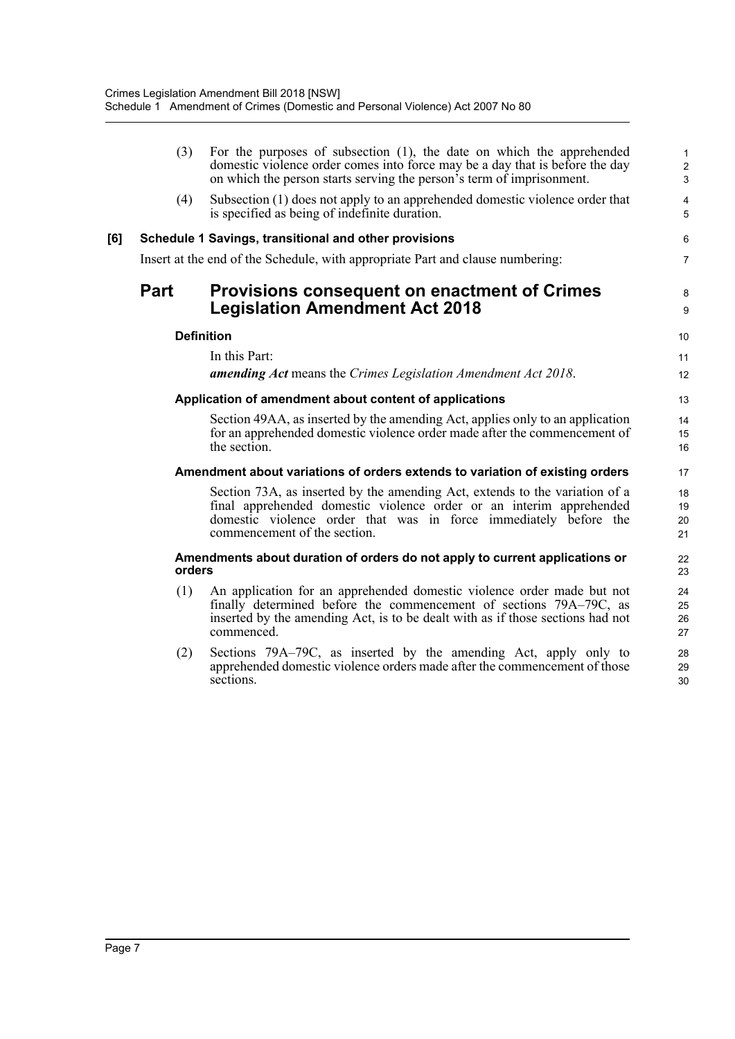|     | (3)    | For the purposes of subsection (1), the date on which the apprehended<br>domestic violence order comes into force may be a day that is before the day<br>on which the person starts serving the person's term of imprisonment.                         | 1<br>$\overline{\mathbf{c}}$<br>3 |
|-----|--------|--------------------------------------------------------------------------------------------------------------------------------------------------------------------------------------------------------------------------------------------------------|-----------------------------------|
|     | (4)    | Subsection (1) does not apply to an apprehended domestic violence order that<br>is specified as being of indefinite duration.                                                                                                                          | 4<br>5                            |
| [6] |        | Schedule 1 Savings, transitional and other provisions                                                                                                                                                                                                  | 6                                 |
|     |        | Insert at the end of the Schedule, with appropriate Part and clause numbering:                                                                                                                                                                         | 7                                 |
|     | Part   | Provisions consequent on enactment of Crimes<br><b>Legislation Amendment Act 2018</b>                                                                                                                                                                  | 8<br>9                            |
|     |        | <b>Definition</b>                                                                                                                                                                                                                                      | 10                                |
|     |        | In this Part:                                                                                                                                                                                                                                          | 11                                |
|     |        | <b>amending Act</b> means the Crimes Legislation Amendment Act 2018.                                                                                                                                                                                   | 12                                |
|     |        | Application of amendment about content of applications                                                                                                                                                                                                 | 13                                |
|     |        | Section 49AA, as inserted by the amending Act, applies only to an application<br>for an apprehended domestic violence order made after the commencement of<br>the section.                                                                             | 14<br>15<br>16                    |
|     |        | Amendment about variations of orders extends to variation of existing orders                                                                                                                                                                           | 17                                |
|     |        | Section 73A, as inserted by the amending Act, extends to the variation of a<br>final apprehended domestic violence order or an interim apprehended<br>domestic violence order that was in force immediately before the<br>commencement of the section. | 18<br>19<br>20<br>21              |
|     | orders | Amendments about duration of orders do not apply to current applications or                                                                                                                                                                            | 22<br>23                          |
|     | (1)    | An application for an apprehended domestic violence order made but not<br>finally determined before the commencement of sections 79A–79C, as<br>inserted by the amending Act, is to be dealt with as if those sections had not<br>commenced.           | 24<br>25<br>26<br>27              |
|     | (2)    | Sections 79A–79C, as inserted by the amending Act, apply only to<br>apprehended domestic violence orders made after the commencement of those<br>sections.                                                                                             | 28<br>29<br>30                    |
|     |        |                                                                                                                                                                                                                                                        |                                   |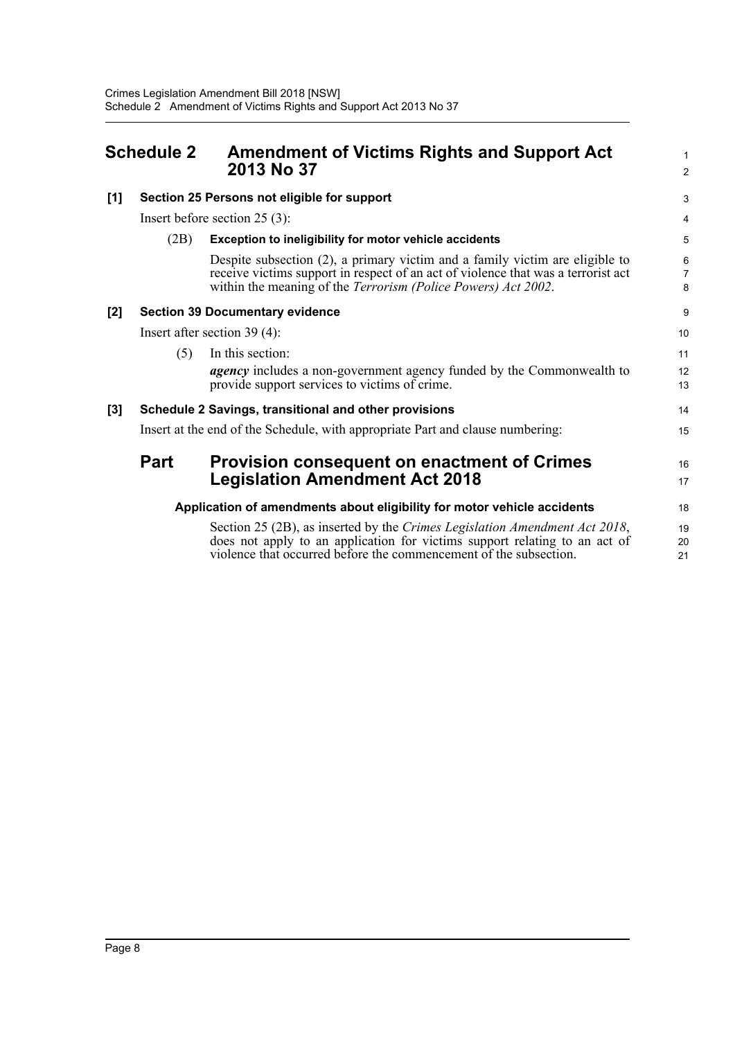<span id="page-11-0"></span>

| <b>Schedule 2</b> |                                                       | <b>Amendment of Victims Rights and Support Act</b><br>2013 No 37                                                                                                                                                                   |                |  |  |  |
|-------------------|-------------------------------------------------------|------------------------------------------------------------------------------------------------------------------------------------------------------------------------------------------------------------------------------------|----------------|--|--|--|
| [1]               |                                                       | Section 25 Persons not eligible for support                                                                                                                                                                                        | 3              |  |  |  |
|                   |                                                       | Insert before section $25(3)$ :                                                                                                                                                                                                    | 4              |  |  |  |
|                   | (2B)                                                  | Exception to ineligibility for motor vehicle accidents                                                                                                                                                                             | 5              |  |  |  |
|                   |                                                       | Despite subsection (2), a primary victim and a family victim are eligible to<br>receive victims support in respect of an act of violence that was a terrorist act<br>within the meaning of the Terrorism (Police Powers) Act 2002. | 6<br>7<br>8    |  |  |  |
| [2]               | <b>Section 39 Documentary evidence</b>                |                                                                                                                                                                                                                                    |                |  |  |  |
|                   | Insert after section $39(4)$ :                        |                                                                                                                                                                                                                                    |                |  |  |  |
|                   | (5)                                                   | In this section:                                                                                                                                                                                                                   | 11             |  |  |  |
|                   |                                                       | agency includes a non-government agency funded by the Commonwealth to<br>provide support services to victims of crime.                                                                                                             | 12<br>13       |  |  |  |
| [3]               | Schedule 2 Savings, transitional and other provisions |                                                                                                                                                                                                                                    |                |  |  |  |
|                   |                                                       | Insert at the end of the Schedule, with appropriate Part and clause numbering:                                                                                                                                                     | 15             |  |  |  |
|                   | <b>Part</b>                                           | <b>Provision consequent on enactment of Crimes</b><br><b>Legislation Amendment Act 2018</b>                                                                                                                                        | 16<br>17       |  |  |  |
|                   |                                                       | Application of amendments about eligibility for motor vehicle accidents                                                                                                                                                            | 18             |  |  |  |
|                   |                                                       | Section 25 (2B), as inserted by the Crimes Legislation Amendment Act 2018,<br>does not apply to an application for victims support relating to an act of<br>violence that occurred before the commencement of the subsection.      | 19<br>20<br>21 |  |  |  |